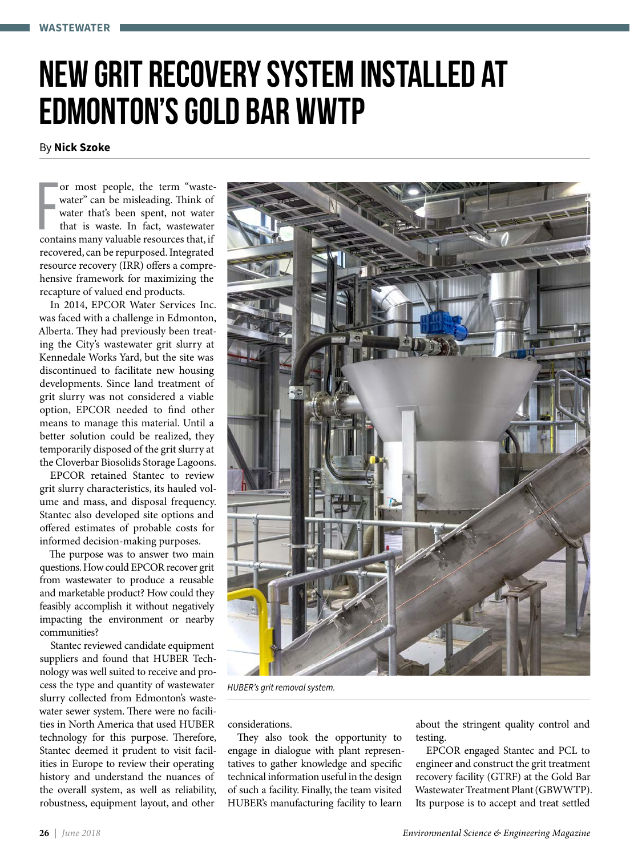# **New grit recovery system installed at Edmonton's Gold Bar WWTP**

By **Nick Szoke**

or most people, the term "waste-<br>water" can be misleading. Think of<br>water that's been spent, not water<br>that is waste. In fact, wastewater<br>contains many valuable resources that, if or most people, the term "wastewater" can be misleading. Think of water that's been spent, not water that is waste. In fact, wastewater recovered, can be repurposed. Integrated resource recovery (IRR) offers a comprehensive framework for maximizing the recapture of valued end products.

In 2014, EPCOR Water Services Inc. was faced with a challenge in Edmonton, Alberta. They had previously been treating the City's wastewater grit slurry at Kennedale Works Yard, but the site was discontinued to facilitate new housing developments. Since land treatment of grit slurry was not considered a viable option, EPCOR needed to find other means to manage this material. Until a better solution could be realized, they temporarily disposed of the grit slurry at the Cloverbar Biosolids Storage Lagoons.

EPCOR retained Stantec to review grit slurry characteristics, its hauled volume and mass, and disposal frequency. Stantec also developed site options and offered estimates of probable costs for informed decision-making purposes.

The purpose was to answer two main questions. How could EPCOR recover grit from wastewater to produce a reusable and marketable product? How could they feasibly accomplish it without negatively impacting the environment or nearby communities?

Stantec reviewed candidate equipment suppliers and found that HUBER Technology was well suited to receive and process the type and quantity of wastewater slurry collected from Edmonton's wastewater sewer system. There were no facilities in North America that used HUBER technology for this purpose. Therefore, Stantec deemed it prudent to visit facilities in Europe to review their operating history and understand the nuances of the overall system, as well as reliability, robustness, equipment layout, and other



*HUBER's grit removal system.*

considerations.

They also took the opportunity to engage in dialogue with plant representatives to gather knowledge and specific technical information useful in the design of such a facility. Finally, the team visited HUBER's manufacturing facility to learn

about the stringent quality control and testing.

EPCOR engaged Stantec and PCL to engineer and construct the grit treatment recovery facility (GTRF) at the Gold Bar Wastewater Treatment Plant (GBWWTP). Its purpose is to accept and treat settled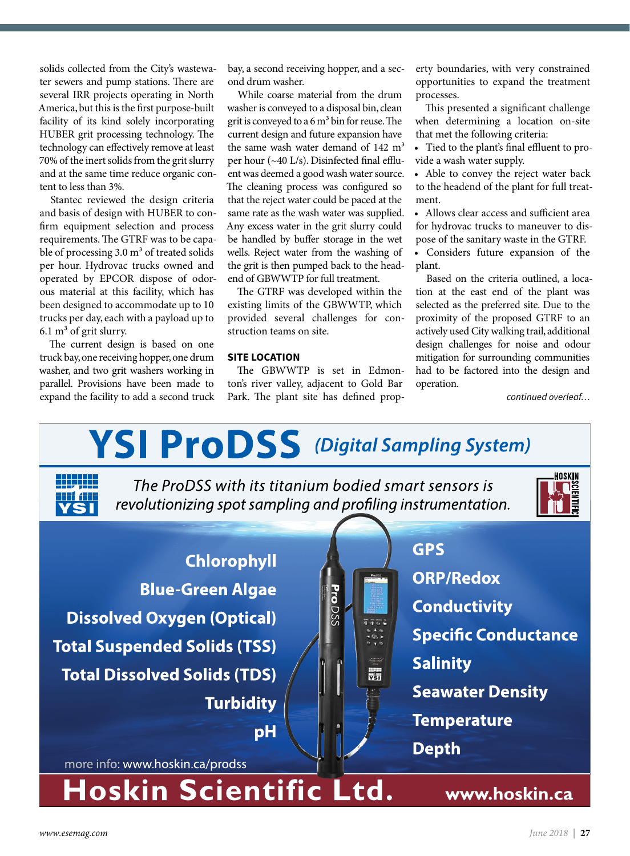solids collected from the City's wastewater sewers and pump stations. There are several IRR projects operating in North America, but this is the first purpose-built facility of its kind solely incorporating HUBER grit processing technology. The technology can effectively remove at least 70% of the inert solids from the grit slurry and at the same time reduce organic content to less than 3%.

Stantec reviewed the design criteria and basis of design with HUBER to confirm equipment selection and process requirements. The GTRF was to be capable of processing  $3.0 \text{ m}^3$  of treated solids per hour. Hydrovac trucks owned and operated by EPCOR dispose of odorous material at this facility, which has been designed to accommodate up to 10 trucks per day, each with a payload up to  $6.1 \text{ m}^3$  of grit slurry.

The current design is based on one truck bay, one receiving hopper, one drum washer, and two grit washers working in parallel. Provisions have been made to expand the facility to add a second truck

bay, a second receiving hopper, and a second drum washer.

While coarse material from the drum washer is conveyed to a disposal bin, clean grit is conveyed to a  $6 \text{ m}^3$  bin for reuse. The current design and future expansion have the same wash water demand of  $142 \text{ m}^3$ per hour (~40 L/s). Disinfected final effluent was deemed a good wash water source. The cleaning process was configured so that the reject water could be paced at the same rate as the wash water was supplied. Any excess water in the grit slurry could be handled by buffer storage in the wet wells. Reject water from the washing of the grit is then pumped back to the headend of GBWWTP for full treatment.

The GTRF was developed within the existing limits of the GBWWTP, which provided several challenges for construction teams on site.

### **SITE LOCATION**

The GBWWTP is set in Edmonton's river valley, adjacent to Gold Bar Park. The plant site has defined property boundaries, with very constrained opportunities to expand the treatment processes.

This presented a significant challenge when determining a location on-site that met the following criteria:

• Tied to the plant's final effluent to provide a wash water supply.

• Able to convey the reject water back to the headend of the plant for full treatment.

• Allows clear access and sufficient area for hydrovac trucks to maneuver to dispose of the sanitary waste in the GTRF.

• Considers future expansion of the plant.

Based on the criteria outlined, a location at the east end of the plant was selected as the preferred site. Due to the proximity of the proposed GTRF to an actively used City walking trail, additional design challenges for noise and odour mitigation for surrounding communities had to be factored into the design and operation.

*continued overleaf…*

## **YSI ProDSS** (Digital Sampling System) The ProDSS with its titanium bodied smart sensors is revolutionizing spot sampling and profiling instrumentation. **GPS Chlorophyll ORP/Redox Blue-Green Algae** Pro DSS **Conductivity Dissolved Oxygen (Optical)** 7752 **Specific Conductance Total Suspended Solids (TSS) Salinity Total Dissolved Solids (TDS)**  $\frac{1}{\sqrt{2}}$ **Seawater Density Turbidity Temperature**  $pH$ **Depth** more info: www.hoskin.ca/prodss Hoskin Scientific Ltd. www.hoskin.ca